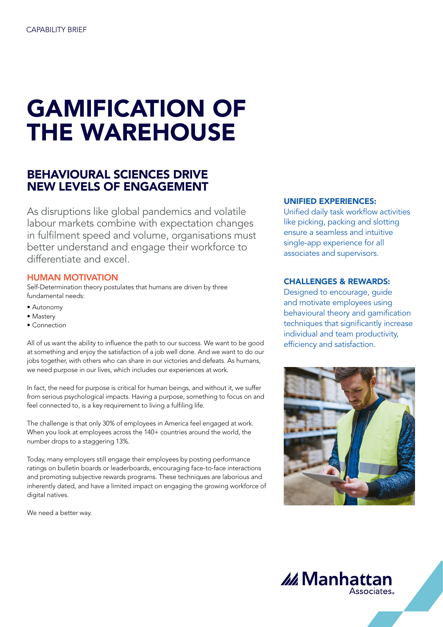# GAMIFICATION OF THE WAREHOUSE

## BEHAVIOURAL SCIENCES DRIVE NEW LEVELS OF ENGAGEMENT

As disruptions like global pandemics and volatile labour markets combine with expectation changes in fulfilment speed and volume, organisations must better understand and engage their workforce to differentiate and excel.

### HUMAN MOTIVATION

Self-Determination theory postulates that humans are driven by three fundamental needs:

- Autonomy
- Mastery
- Connection

All of us want the ability to influence the path to our success. We want to be good at something and enjoy the satisfaction of a job well done. And we want to do our jobs together, with others who can share in our victories and defeats. As humans, we need purpose in our lives, which includes our experiences at work.

In fact, the need for purpose is critical for human beings, and without it, we suffer from serious psychological impacts. Having a purpose, something to focus on and feel connected to, is a key requirement to living a fulfiling life.

The challenge is that only 30% of employees in America feel engaged at work. When you look at employees across the 140+ countries around the world, the number drops to a staggering 13%.

Today, many employers still engage their employees by posting performance ratings on bulletin boards or leaderboards, encouraging face-to-face interactions and promoting subjective rewards programs. These techniques are laborious and inherently dated, and have a limited impact on engaging the growing workforce of digital natives.

We need a better way.

#### UNIFIED EXPERIENCES:

Unified daily task workflow activities like picking, packing and slotting ensure a seamless and intuitive single-app experience for all associates and supervisors.

### CHALLENGES & REWARDS:

Designed to encourage, guide and motivate employees using behavioural theory and gamification techniques that significantly increase individual and team productivity, efficiency and satisfaction.